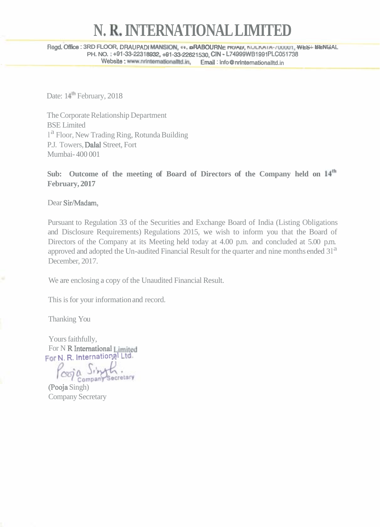## **N. Re INTERNATIONAL LIMITED**

**Regd. Offioe** : **3RD FLOOR, DRAUPADI MANSKX., I I, oRABOURNc nuw, nuLwIA-mwu1, wtS I BtNCjAL PH. NO.** : **+91-33-22318932,+\$1-33-22621530, ClN** - **L74999WBlWl PLC051738 IO. 1+91-33-22318932, +91-33-22621530, GIN - L74999WB1991FLC03**<br>Website : www.nrintemationalltd.in, Email : info@nrintemationalltd.in

Date: 14<sup>th</sup> February, 2018

The Corporate Relationship Department BSE Limited <sup>1</sup> Floor, New Trading Ring, Rotunda Building P.J. Towers, Dalal Street, Fort Mumbai- 400 001

Sub: Outcome of the meeting of Board of Directors of the Company held on  $14<sup>th</sup>$ **February, 2017** 

Dear Sir/Madam,

Pursuant to Regulation 33 of the Securities and Exchange Board of India (Listing Obligations and Disclosure Requirements) Regulations 2015, we wish to inform you that the Board of Directors of the Company at its Meeting held today at 4.00 p.m. and concluded at 5.00 p.m. approved and adopted the Un-audited Financial Result for the quarter and nine months ended 31<sup>a</sup> December, 2017.

We are enclosing a copy of the Unaudited Financial Result.

This is for your information and record.

Thanking You

Yours faithfully, For N R International Limited **For N. R. International Ltd.** 

cord o lingth.

(Pooja Singh) Company Secretary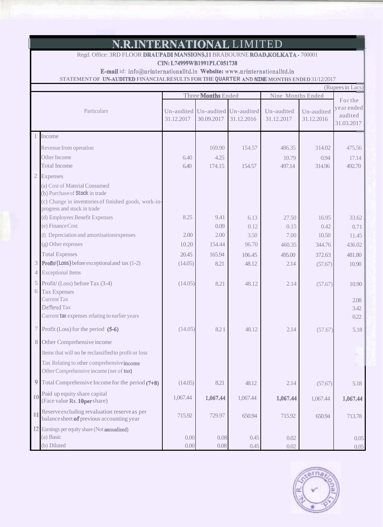## N.R.INTERNATIONAL LIMITED

Regd. Office: 3RD FLOOR DRAUPADI MANSIONS,11 BRABOURNE ROAD, KOLKATA - 700001

CIN: L74999WB1991PLC051738

E-maiI id: **info@nrintermtionalItd.in** Website: **www.nrinternationaUtd.in** 

**STATEMENT OF UN-AUDITED FINANCIAL RESULTS FOR THE QUARTER AND NINE MONTHS ENDED** 31/12/2017

| (Rupees in Lacs) |                                                                                                                          |                           |            |                                     |                          |                          |                                     |
|------------------|--------------------------------------------------------------------------------------------------------------------------|---------------------------|------------|-------------------------------------|--------------------------|--------------------------|-------------------------------------|
|                  |                                                                                                                          | Three <b>Months</b> Ended |            |                                     | Nine Months Ended        |                          | For the                             |
|                  | Particulars                                                                                                              | Un-audited<br>31.12.2017  | 30.09.2017 | Un-audited Un-audited<br>31.12.2016 | Un-audited<br>31.12.2017 | Un-audited<br>31.12.2016 | year ended<br>audited<br>31.03.2017 |
|                  | Income                                                                                                                   |                           |            |                                     |                          |                          |                                     |
|                  | Revenue from operation                                                                                                   |                           | 169.90     | 154.57                              | 486.35                   | 314.02                   | 475.56                              |
|                  | Other Income                                                                                                             | 6.40                      | 4.25       |                                     | 10.79                    | 0.94                     | 17.14                               |
|                  | <b>Total Income</b>                                                                                                      | 6.40                      | 174.15     | 154.57                              | 497.14                   | 314.96                   | 492.70                              |
| $\overline{2}$   | Expenses                                                                                                                 |                           |            |                                     |                          |                          |                                     |
|                  | (a) Cost of Material Consumed<br>(b) Purchase of Stock in trade<br>(c) Change in inventories of finished goods, work-in- |                           |            |                                     |                          |                          |                                     |
|                  | progress and stock in trade                                                                                              |                           |            |                                     |                          |                          |                                     |
|                  | (d) Employees Benefit Expenses                                                                                           | 8.25                      | 9.41       | 6.13                                | 27.50                    | 16.95                    | 33.62                               |
|                  | (e) Finance Cost                                                                                                         |                           | 0.09       | 0.12                                | 0.15                     | 0.42                     | 0.71                                |
|                  | (f) Depreciation and amortisation expenses                                                                               | 2.00                      | 2.00       | 3.50                                | 7.00                     | 10.50                    | 11.45                               |
|                  | (g) Other expenses                                                                                                       | 10.20                     | 154.44     | 96.70                               | 460.35                   | 344.76                   | 436.02                              |
|                  | <b>Total Expenses</b>                                                                                                    | 20.45                     | 165.94     | 106.45                              | 495.00                   | 372.63                   | 481.80                              |
|                  | <b>Profit/(Loss)</b> before exceptional and tax (1-2)                                                                    | (14.05)                   | 8.21       | 48.12                               | 2.14                     | (57.67)                  | 10.90                               |
| $\overline{4}$   | <b>Exceptional Items</b>                                                                                                 |                           |            |                                     |                          |                          |                                     |
| 5                | Profit/(Loss) before Tax (3-4)                                                                                           | (14.05)                   | 8.21       | 48.12                               | 2.14                     | (57.67)                  | 10.90                               |
| 6                | <b>Tax Expenses</b><br><b>Current Tax</b>                                                                                |                           |            |                                     |                          |                          |                                     |
|                  | Deffered Tax                                                                                                             |                           |            |                                     |                          |                          | 2.08<br>3.42                        |
|                  | Current tax expenses relating to earlier years                                                                           |                           |            |                                     |                          |                          | 0.22                                |
|                  |                                                                                                                          |                           |            |                                     |                          |                          |                                     |
|                  | 7 Profit (Loss) for the period (5-6)                                                                                     | (14.05)                   | 8.21       | 48.12                               | 2.14                     | (57.67)                  | 5.18                                |
| 8                | Other Comprehensive income                                                                                               |                           |            |                                     |                          |                          |                                     |
|                  | Items that will no be reclassified to profit or loss                                                                     |                           |            |                                     |                          |                          |                                     |
|                  | Tax Relating to other comprehensive income<br>Other Comprehensive income (net of tax)                                    |                           |            |                                     |                          |                          |                                     |
| 9                | Total Comprehensive Income for the period (7+8)                                                                          | (14.05)                   | 8.21       | 48.12                               | 2.14                     | (57.67)                  | 5.18                                |
| 10               | Paid up equity share capital<br>(Face value Rs. 10per share)                                                             | 1,067.44                  | 1,067.44   | 1,067.44                            | 1,067.44                 | 1,067.44                 | 1,067.44                            |
| $\mathbb{I}$     | Reserve excluding revaluation reserve as per<br>balance sheet of previous accounting year                                | 715.92                    | 729.97     | 650.94                              | 715.92                   | 650.94                   | 713.78                              |
|                  | 12 Earnings per equity share (Not annualised)                                                                            |                           |            |                                     |                          |                          |                                     |
|                  | (a) Basic                                                                                                                | 0.00                      | 0.08       | 0.45                                | 0.02                     |                          | 0.05                                |
|                  | (b) Diluted                                                                                                              | 0.00                      | 0.08       | 0.45                                | 0.02                     |                          | 0.05                                |